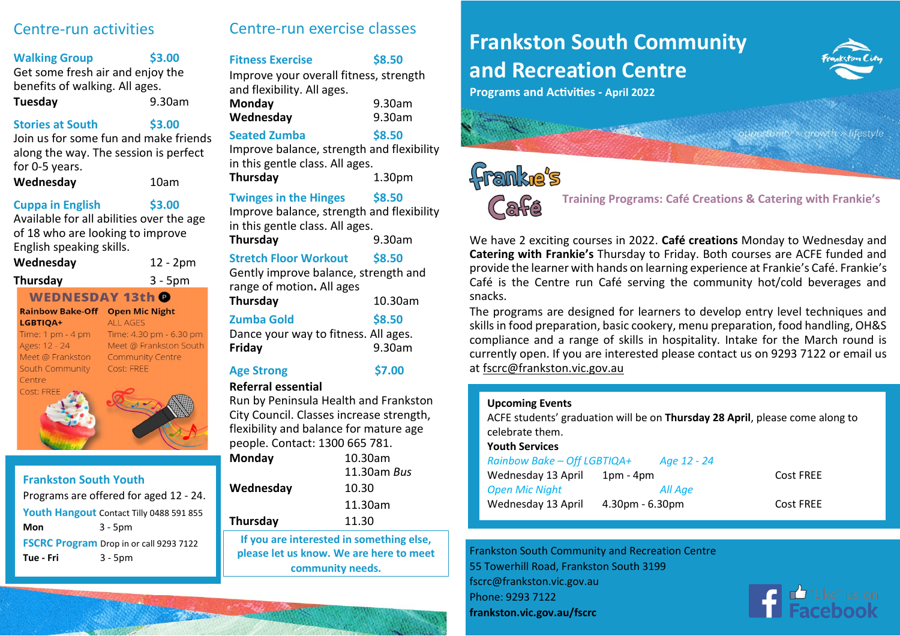# Centre-run activities

# **Walking Group \$3.00**

Get some fresh air and enjoy the benefits of walking. All ages. **Tuesday** 9.30am

# **Stories at South \$3.00**

Join us for some fun and make friends along the way. The session is perfect for 0-5 years.

# **Wednesday** 10am

# **Cuppa in English \$3.00**

Available for all abilities over the age of 18 who are looking to improve English speaking skills.

**Wednesday** 12 - 2pm

#### **Thursday** 3 - 5pm

**WEDNESDAY 13th @** 

# LGBTIOA+

Time:  $1 \text{ pm} - 4 \text{ pm}$ Ages: 12 - 24 Meet @ Frankston South Community Centre

**Rainbow Bake-Off Open Mic Night** ALL AGES Time: 4.30 pm - 6.30 pm Meet @ Frankston South **Community Centre** Cost: FREE



# **Frankston South Youth** Programs are offered for aged 12 - 24. **Youth Hangout** Contact Tilly 0488 591 855 **Mon** 3 - 5pm **FSCRC Program** Drop in or call 9293 7122 **Tue - Fri** 3 - 5pm

# Centre-run exercise classes

# **Fitness Exercise \$8.50**

Improve your overall fitness, strength and flexibility. All ages. **Monday** 9.30am

| <b>IVIUIIUAV</b> | 3.JUGIII |
|------------------|----------|
| Wednesday        | 9.30am   |

# **Seated Zumba \$8.50**

Improve balance, strength and flexibility in this gentle class. All ages. **Thursday** 1.30pm

# **Twinges in the Hinges \$8.50**

Improve balance, strength and flexibility in this gentle class. All ages.

**Thursday** 9.30am

# **Stretch Floor Workout \$8.50**

Gently improve balance, strength and range of motion**.** All ages **Thursday** 10.30am

| i nursuav                            | TO'OQIII |
|--------------------------------------|----------|
| <b>Zumba Gold</b>                    | \$8.50   |
| Dance your way to fitness. All ages. |          |
| Friday                               | 9.30am   |
|                                      |          |

# **Age Strong \$7.00**

# **Referral essential**

Run by Peninsula Health and Frankston City Council. Classes increase strength, flexibility and balance for mature age people. Contact: 1300 665 781.

| Monday          | 10.30am                                  |
|-----------------|------------------------------------------|
|                 | 11.30am <i>Bus</i>                       |
| Wednesday       | 10.30                                    |
|                 | 11.30am                                  |
| <b>Thursday</b> | 11.30                                    |
|                 | If you are interested in something else, |

**please let us know. We are here to meet community needs.**

# **Frankston South Community and Recreation Centre**



**Programs and Activities - April 2022**

» lifestvle

# franke's



 **Training Programs: Café Creations & Catering with Frankie's**

We have 2 exciting courses in 2022. **Café creations** Monday to Wednesday and **Catering with Frankie's** Thursday to Friday. Both courses are ACFE funded and provide the learner with hands on learning experience at Frankie's Café. Frankie's Café is the Centre run Café serving the community hot/cold beverages and snacks.

The programs are designed for learners to develop entry level techniques and skills in food preparation, basic cookery, menu preparation, food handling, OH&S compliance and a range of skills in hospitality. Intake for the March round is currently open. If you are interested please contact us on 9293 7122 or email us a[t fscrc@frankston.vic.gov.au](mailto:fscrc@frankston.vic.gov.au)

# **Upcoming Events**

ACFE students' graduation will be on **Thursday 28 April**, please come along to celebrate them. **Youth Services**

| Rainbow Bake - Off LGBTIQA+ |                   | Age 12 - 24 |           |
|-----------------------------|-------------------|-------------|-----------|
| Wednesday 13 April          | 1pm - 4pm         |             | Cost FREE |
| <b>Open Mic Night</b>       |                   | All Age     |           |
| Wednesday 13 April          | $4.30pm - 6.30pm$ |             | Cost FREE |

Frankston South Community and Recreation Centre 55 Towerhill Road, Frankston South 3199 fscrc@frankston.vic.gov.au Phone: 9293 7122 **frankston.vic.gov.au/fscrc**